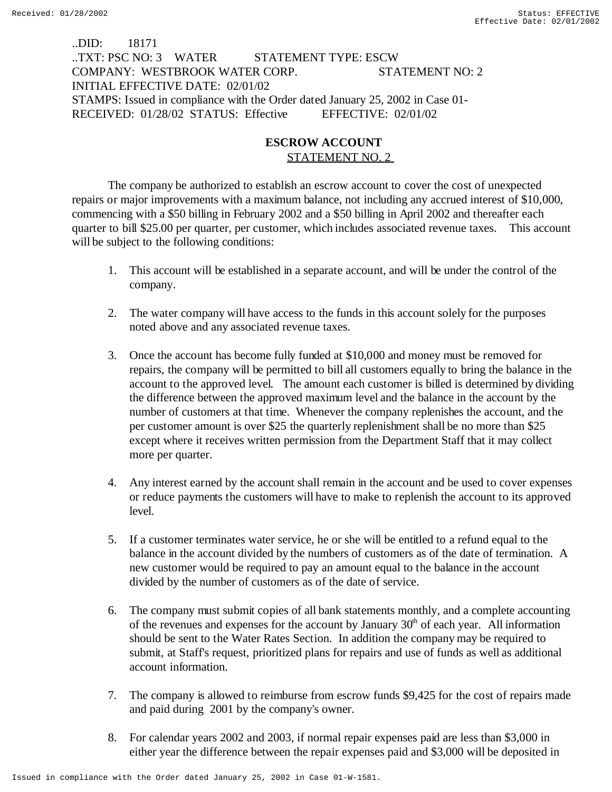..DID: 18171 ..TXT: PSC NO: 3 WATER STATEMENT TYPE: ESCW COMPANY: WESTBROOK WATER CORP. STATEMENT NO: 2 INITIAL EFFECTIVE DATE: 02/01/02 STAMPS: Issued in compliance with the Order dated January 25, 2002 in Case 01- RECEIVED: 01/28/02 STATUS: Effective EFFECTIVE: 02/01/02

## **ESCROW ACCOUNT** STATEMENT NO. 2

The company be authorized to establish an escrow account to cover the cost of unexpected repairs or major improvements with a maximum balance, not including any accrued interest of \$10,000, commencing with a \$50 billing in February 2002 and a \$50 billing in April 2002 and thereafter each quarter to bill \$25.00 per quarter, per customer, which includes associated revenue taxes. This account will be subject to the following conditions:

- 1. This account will be established in a separate account, and will be under the control of the company.
- 2. The water company will have access to the funds in this account solely for the purposes noted above and any associated revenue taxes.
- 3. Once the account has become fully funded at \$10,000 and money must be removed for repairs, the company will be permitted to bill all customers equally to bring the balance in the account to the approved level. The amount each customer is billed is determined by dividing the difference between the approved maximum level and the balance in the account by the number of customers at that time. Whenever the company replenishes the account, and the per customer amount is over \$25 the quarterly replenishment shall be no more than \$25 except where it receives written permission from the Department Staff that it may collect more per quarter.
- 4. Any interest earned by the account shall remain in the account and be used to cover expenses or reduce payments the customers will have to make to replenish the account to its approved level.
- 5. If a customer terminates water service, he or she will be entitled to a refund equal to the balance in the account divided by the numbers of customers as of the date of termination. A new customer would be required to pay an amount equal to the balance in the account divided by the number of customers as of the date of service.
- 6. The company must submit copies of all bank statements monthly, and a complete accounting of the revenues and expenses for the account by January  $30<sup>th</sup>$  of each year. All information should be sent to the Water Rates Section. In addition the company may be required to submit, at Staff's request, prioritized plans for repairs and use of funds as well as additional account information.
- 7. The company is allowed to reimburse from escrow funds \$9,425 for the cost of repairs made and paid during 2001 by the company's owner.
- 8. For calendar years 2002 and 2003, if normal repair expenses paid are less than \$3,000 in either year the difference between the repair expenses paid and \$3,000 will be deposited in